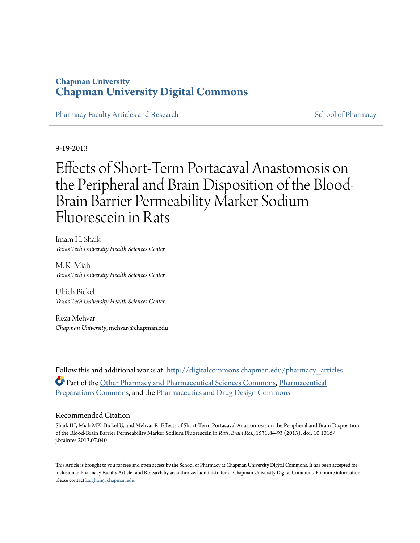# **Chapman University [Chapman University Digital Commons](http://digitalcommons.chapman.edu?utm_source=digitalcommons.chapman.edu%2Fpharmacy_articles%2F163&utm_medium=PDF&utm_campaign=PDFCoverPages)**

[Pharmacy Faculty Articles and Research](http://digitalcommons.chapman.edu/pharmacy_articles?utm_source=digitalcommons.chapman.edu%2Fpharmacy_articles%2F163&utm_medium=PDF&utm_campaign=PDFCoverPages) [School of Pharmacy](http://digitalcommons.chapman.edu/cusp?utm_source=digitalcommons.chapman.edu%2Fpharmacy_articles%2F163&utm_medium=PDF&utm_campaign=PDFCoverPages) School of Pharmacy

9-19-2013

# Effects of Short-Term Portacaval Anastomosis on the Peripheral and Brain Disposition of the Blood-Brain Barrier Permeability Marker Sodium Fluorescein in Rats

Imam H. Shaik *Texas Tech University Health Sciences Center*

M. K. Miah *Texas Tech University Health Sciences Center*

Ulrich Bickel *Texas Tech University Health Sciences Center*

Reza Mehvar *Chapman University*, mehvar@chapman.edu

Follow this and additional works at: [http://digitalcommons.chapman.edu/pharmacy\\_articles](http://digitalcommons.chapman.edu/pharmacy_articles?utm_source=digitalcommons.chapman.edu%2Fpharmacy_articles%2F163&utm_medium=PDF&utm_campaign=PDFCoverPages) Part of the [Other Pharmacy and Pharmaceutical Sciences Commons](http://network.bepress.com/hgg/discipline/737?utm_source=digitalcommons.chapman.edu%2Fpharmacy_articles%2F163&utm_medium=PDF&utm_campaign=PDFCoverPages), [Pharmaceutical](http://network.bepress.com/hgg/discipline/936?utm_source=digitalcommons.chapman.edu%2Fpharmacy_articles%2F163&utm_medium=PDF&utm_campaign=PDFCoverPages) [Preparations Commons,](http://network.bepress.com/hgg/discipline/936?utm_source=digitalcommons.chapman.edu%2Fpharmacy_articles%2F163&utm_medium=PDF&utm_campaign=PDFCoverPages) and the [Pharmaceutics and Drug Design Commons](http://network.bepress.com/hgg/discipline/733?utm_source=digitalcommons.chapman.edu%2Fpharmacy_articles%2F163&utm_medium=PDF&utm_campaign=PDFCoverPages)

#### Recommended Citation

Shaik IH, Miah MK, Bickel U, and Mehvar R. Effects of Short-Term Portacaval Anastomosis on the Peripheral and Brain Disposition of the Blood-Brain Barrier Permeability Marker Sodium Fluorescein in *Rats. Brain Res.*, 1531:84-93 (2013). doi: 10.1016/ j.brainres.2013.07.040

This Article is brought to you for free and open access by the School of Pharmacy at Chapman University Digital Commons. It has been accepted for inclusion in Pharmacy Faculty Articles and Research by an authorized administrator of Chapman University Digital Commons. For more information, please contact [laughtin@chapman.edu.](mailto:laughtin@chapman.edu)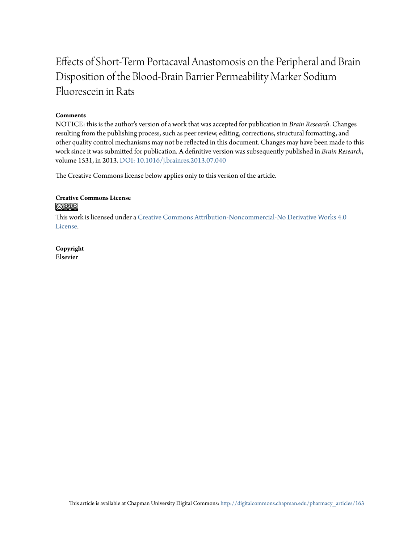# Effects of Short-Term Portacaval Anastomosis on the Peripheral and Brain Disposition of the Blood-Brain Barrier Permeability Marker Sodium Fluorescein in Rats

#### **Comments**

NOTICE: this is the author's version of a work that was accepted for publication in *Brain Research*. Changes resulting from the publishing process, such as peer review, editing, corrections, structural formatting, and other quality control mechanisms may not be reflected in this document. Changes may have been made to this work since it was submitted for publication. A definitive version was subsequently published in *Brain Research*, volume 1531, in 2013. [DOI: 10.1016/j.brainres.2013.07.040](http://dx.doi.org/10.1016/j.brainres.2013.07.040)

The Creative Commons license below applies only to this version of the article.

#### **Creative Commons License** <u>@O®©</u>

This work is licensed under a [Creative Commons Attribution-Noncommercial-No Derivative Works 4.0](http://creativecommons.org/licenses/by-nc-nd/4.0/) [License.](http://creativecommons.org/licenses/by-nc-nd/4.0/)

**Copyright** Elsevier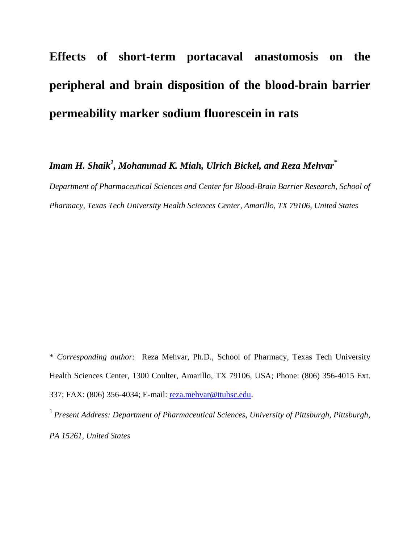# **Effects of short-term portacaval anastomosis on the peripheral and brain disposition of the blood-brain barrier permeability marker sodium fluorescein in rats**

*Imam H. Shaik<sup>1</sup> , Mohammad K. Miah, Ulrich Bickel, and Reza Mehvar\** 

*Department of Pharmaceutical Sciences and Center for Blood-Brain Barrier Research, School of Pharmacy, Texas Tech University Health Sciences Center, Amarillo, TX 79106, United States* 

\* *Corresponding author:* Reza Mehvar, Ph.D., School of Pharmacy, Texas Tech University Health Sciences Center, 1300 Coulter, Amarillo, TX 79106, USA; Phone: (806) 356-4015 Ext. 337; FAX: (806) 356-4034; E-mail: [reza.mehvar@ttuhsc.edu.](mailto:reza.mehvar@ttuhsc.edu)

<sup>1</sup> Present Address: Department of Pharmaceutical Sciences, University of Pittsburgh, Pittsburgh, *PA 15261, United States*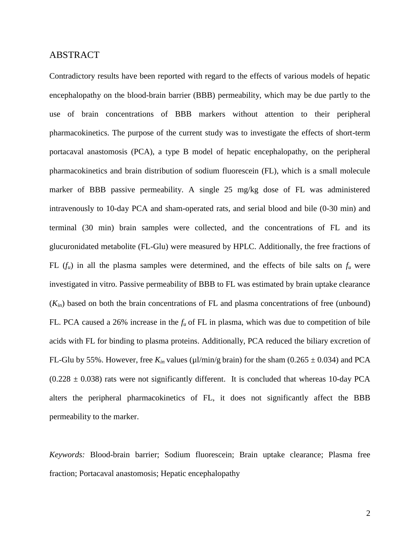#### ABSTRACT

Contradictory results have been reported with regard to the effects of various models of hepatic encephalopathy on the blood-brain barrier (BBB) permeability, which may be due partly to the use of brain concentrations of BBB markers without attention to their peripheral pharmacokinetics. The purpose of the current study was to investigate the effects of short-term portacaval anastomosis (PCA), a type B model of hepatic encephalopathy, on the peripheral pharmacokinetics and brain distribution of sodium fluorescein (FL), which is a small molecule marker of BBB passive permeability. A single 25 mg/kg dose of FL was administered intravenously to 10-day PCA and sham-operated rats, and serial blood and bile (0-30 min) and terminal (30 min) brain samples were collected, and the concentrations of FL and its glucuronidated metabolite (FL-Glu) were measured by HPLC. Additionally, the free fractions of FL  $(f_u)$  in all the plasma samples were determined, and the effects of bile salts on  $f_u$  were investigated in vitro. Passive permeability of BBB to FL was estimated by brain uptake clearance  $(K_{in})$  based on both the brain concentrations of FL and plasma concentrations of free (unbound) FL. PCA caused a 26% increase in the *f<sup>u</sup>* of FL in plasma, which was due to competition of bile acids with FL for binding to plasma proteins. Additionally, PCA reduced the biliary excretion of FL-Glu by 55%. However, free  $K_{in}$  values ( $\mu$ l/min/g brain) for the sham (0.265  $\pm$  0.034) and PCA  $(0.228 \pm 0.038)$  rats were not significantly different. It is concluded that whereas 10-day PCA alters the peripheral pharmacokinetics of FL, it does not significantly affect the BBB permeability to the marker.

*Keywords:* Blood-brain barrier; Sodium fluorescein; Brain uptake clearance; Plasma free fraction; Portacaval anastomosis; Hepatic encephalopathy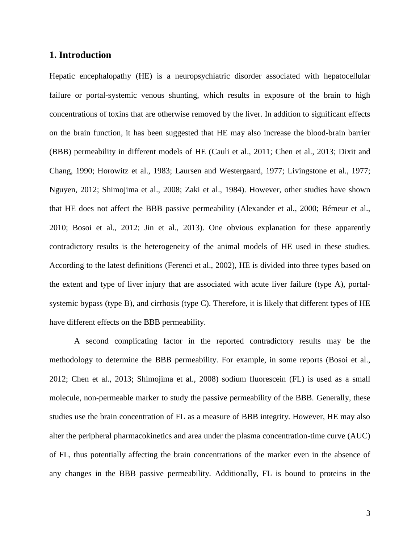#### **1. Introduction**

Hepatic encephalopathy (HE) is a neuropsychiatric disorder associated with hepatocellular failure or portal-systemic venous shunting, which results in exposure of the brain to high concentrations of toxins that are otherwise removed by the liver. In addition to significant effects on the brain function, it has been suggested that HE may also increase the blood-brain barrier (BBB) permeability in different models of HE [\(Cauli et al., 2011;](#page-19-0) [Chen et al., 2013;](#page-19-1) [Dixit and](#page-19-2)  [Chang, 1990;](#page-19-2) [Horowitz et al., 1983;](#page-20-0) [Laursen and Westergaard, 1977;](#page-20-1) [Livingstone et al., 1977;](#page-21-0) [Nguyen, 2012;](#page-21-1) [Shimojima et al., 2008;](#page-22-0) [Zaki et al., 1984\)](#page-23-0). However, other studies have shown that HE does not affect the BBB passive permeability [\(Alexander et al., 2000;](#page-18-0) [Bémeur et al.,](#page-18-1)  [2010;](#page-18-1) [Bosoi et al., 2012;](#page-18-2) [Jin et al., 2013\)](#page-20-2). One obvious explanation for these apparently contradictory results is the heterogeneity of the animal models of HE used in these studies. According to the latest definitions [\(Ferenci et al., 2002\)](#page-19-3), HE is divided into three types based on the extent and type of liver injury that are associated with acute liver failure (type A), portalsystemic bypass (type B), and cirrhosis (type C). Therefore, it is likely that different types of HE have different effects on the BBB permeability.

A second complicating factor in the reported contradictory results may be the methodology to determine the BBB permeability. For example, in some reports [\(Bosoi et al.,](#page-18-2)  [2012;](#page-18-2) [Chen et al., 2013;](#page-19-1) [Shimojima et al., 2008\)](#page-22-0) sodium fluorescein (FL) is used as a small molecule, non-permeable marker to study the passive permeability of the BBB. Generally, these studies use the brain concentration of FL as a measure of BBB integrity. However, HE may also alter the peripheral pharmacokinetics and area under the plasma concentration-time curve (AUC) of FL, thus potentially affecting the brain concentrations of the marker even in the absence of any changes in the BBB passive permeability. Additionally, FL is bound to proteins in the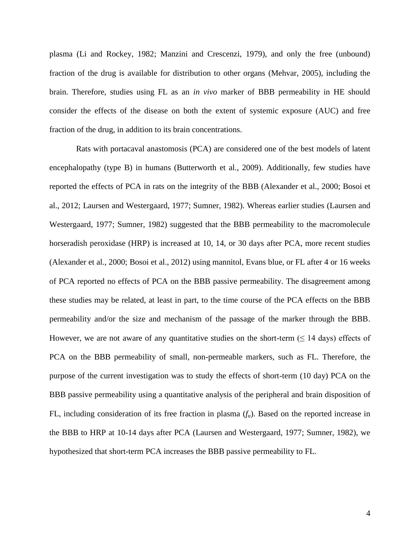plasma [\(Li and Rockey, 1982;](#page-20-3) [Manzini and Crescenzi, 1979\)](#page-21-2), and only the free (unbound) fraction of the drug is available for distribution to other organs [\(Mehvar, 2005\)](#page-21-3), including the brain. Therefore, studies using FL as an *in vivo* marker of BBB permeability in HE should consider the effects of the disease on both the extent of systemic exposure (AUC) and free fraction of the drug, in addition to its brain concentrations.

Rats with portacaval anastomosis (PCA) are considered one of the best models of latent encephalopathy (type B) in humans [\(Butterworth et al., 2009\)](#page-18-3). Additionally, few studies have reported the effects of PCA in rats on the integrity of the BBB [\(Alexander et al., 2000;](#page-18-0) [Bosoi et](#page-18-2)  [al., 2012;](#page-18-2) [Laursen and Westergaard, 1977;](#page-20-1) [Sumner, 1982\)](#page-22-1). Whereas earlier studies [\(Laursen and](#page-20-1)  [Westergaard, 1977;](#page-20-1) [Sumner, 1982\)](#page-22-1) suggested that the BBB permeability to the macromolecule horseradish peroxidase (HRP) is increased at 10, 14, or 30 days after PCA, more recent studies [\(Alexander et al., 2000;](#page-18-0) [Bosoi et al., 2012\)](#page-18-2) using mannitol, Evans blue, or FL after 4 or 16 weeks of PCA reported no effects of PCA on the BBB passive permeability. The disagreement among these studies may be related, at least in part, to the time course of the PCA effects on the BBB permeability and/or the size and mechanism of the passage of the marker through the BBB. However, we are not aware of any quantitative studies on the short-term  $( \leq 14 \text{ days})$  effects of PCA on the BBB permeability of small, non-permeable markers, such as FL. Therefore, the purpose of the current investigation was to study the effects of short-term (10 day) PCA on the BBB passive permeability using a quantitative analysis of the peripheral and brain disposition of FL, including consideration of its free fraction in plasma  $(f_u)$ . Based on the reported increase in the BBB to HRP at 10-14 days after PCA [\(Laursen and Westergaard, 1977;](#page-20-1) [Sumner, 1982\)](#page-22-1), we hypothesized that short-term PCA increases the BBB passive permeability to FL.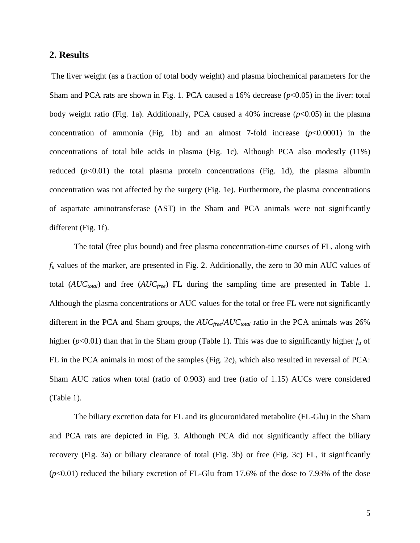#### **2. Results**

The liver weight (as a fraction of total body weight) and plasma biochemical parameters for the Sham and PCA rats are shown in Fig. 1. PCA caused a  $16\%$  decrease ( $p<0.05$ ) in the liver: total body weight ratio (Fig. 1a). Additionally, PCA caused a  $40\%$  increase ( $p<0.05$ ) in the plasma concentration of ammonia (Fig. 1b) and an almost 7-fold increase (*p*<0.0001) in the concentrations of total bile acids in plasma (Fig. 1c). Although PCA also modestly (11%) reduced  $(p<0.01)$  the total plasma protein concentrations (Fig. 1d), the plasma albumin concentration was not affected by the surgery (Fig. 1e). Furthermore, the plasma concentrations of aspartate aminotransferase (AST) in the Sham and PCA animals were not significantly different (Fig. 1f).

The total (free plus bound) and free plasma concentration-time courses of FL, along with  $f_u$  values of the marker, are presented in Fig. 2. Additionally, the zero to 30 min AUC values of total (*AUCtotal*) and free (*AUCfree*) FL during the sampling time are presented in Table 1. Although the plasma concentrations or AUC values for the total or free FL were not significantly different in the PCA and Sham groups, the *AUCfree*/*AUCtotal* ratio in the PCA animals was 26% higher ( $p$ <0.01) than that in the Sham group (Table 1). This was due to significantly higher  $f_u$  of FL in the PCA animals in most of the samples (Fig. 2c), which also resulted in reversal of PCA: Sham AUC ratios when total (ratio of 0.903) and free (ratio of 1.15) AUCs were considered (Table 1).

The biliary excretion data for FL and its glucuronidated metabolite (FL-Glu) in the Sham and PCA rats are depicted in Fig. 3. Although PCA did not significantly affect the biliary recovery (Fig. 3a) or biliary clearance of total (Fig. 3b) or free (Fig. 3c) FL, it significantly (*p*<0.01) reduced the biliary excretion of FL-Glu from 17.6% of the dose to 7.93% of the dose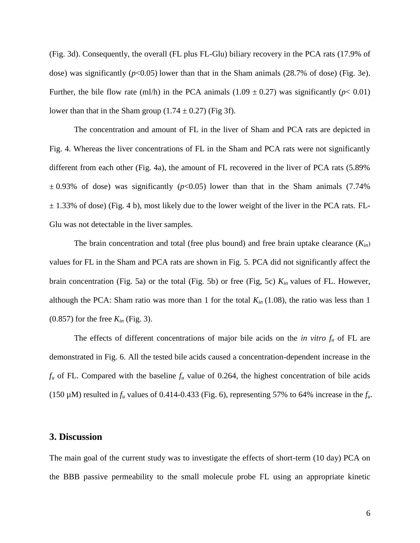(Fig. 3d). Consequently, the overall (FL plus FL-Glu) biliary recovery in the PCA rats (17.9% of dose) was significantly  $(p<0.05)$  lower than that in the Sham animals  $(28.7\%$  of dose) (Fig. 3e). Further, the bile flow rate (ml/h) in the PCA animals (1.09  $\pm$  0.27) was significantly ( $p$ < 0.01) lower than that in the Sham group  $(1.74 \pm 0.27)$  (Fig 3f).

The concentration and amount of FL in the liver of Sham and PCA rats are depicted in Fig. 4. Whereas the liver concentrations of FL in the Sham and PCA rats were not significantly different from each other (Fig. 4a), the amount of FL recovered in the liver of PCA rats (5.89%  $\pm$  0.93% of dose) was significantly ( $p$ <0.05) lower than that in the Sham animals (7.74%)  $\pm$  1.33% of dose) (Fig. 4 b), most likely due to the lower weight of the liver in the PCA rats. FL-Glu was not detectable in the liver samples.

The brain concentration and total (free plus bound) and free brain uptake clearance (*Kin*) values for FL in the Sham and PCA rats are shown in Fig. 5. PCA did not significantly affect the brain concentration (Fig. 5a) or the total (Fig. 5b) or free (Fig, 5c) *Kin* values of FL. However, although the PCA: Sham ratio was more than 1 for the total *Kin* (1.08), the ratio was less than 1 (0.857) for the free *Kin* (Fig. 3).

The effects of different concentrations of major bile acids on the *in vitro*  $f_u$  of FL are demonstrated in Fig. 6. All the tested bile acids caused a concentration-dependent increase in the  $f_u$  of FL. Compared with the baseline  $f_u$  value of 0.264, the highest concentration of bile acids (150  $\mu$ M) resulted in  $f_u$  values of 0.414-0.433 (Fig. 6), representing 57% to 64% increase in the  $f_u$ .

#### **3. Discussion**

The main goal of the current study was to investigate the effects of short-term (10 day) PCA on the BBB passive permeability to the small molecule probe FL using an appropriate kinetic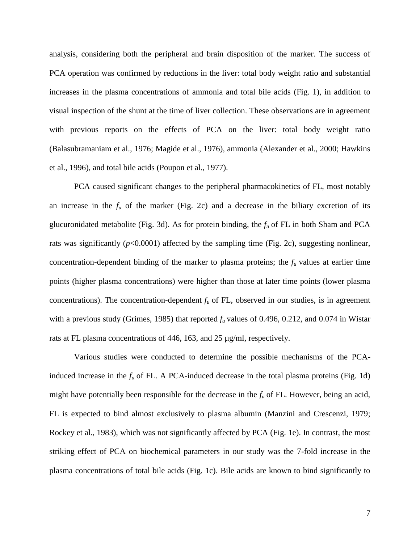analysis, considering both the peripheral and brain disposition of the marker. The success of PCA operation was confirmed by reductions in the liver: total body weight ratio and substantial increases in the plasma concentrations of ammonia and total bile acids (Fig. 1), in addition to visual inspection of the shunt at the time of liver collection. These observations are in agreement with previous reports on the effects of PCA on the liver: total body weight ratio [\(Balasubramaniam et al., 1976;](#page-18-4) [Magide et al., 1976\)](#page-21-4), ammonia [\(Alexander et al., 2000;](#page-18-0) [Hawkins](#page-20-4)  [et al., 1996\)](#page-20-4), and total bile acids [\(Poupon et al., 1977\)](#page-21-5).

PCA caused significant changes to the peripheral pharmacokinetics of FL, most notably an increase in the  $f<sub>u</sub>$  of the marker (Fig. 2c) and a decrease in the biliary excretion of its glucuronidated metabolite (Fig. 3d). As for protein binding, the *f<sup>u</sup>* of FL in both Sham and PCA rats was significantly  $(p<0.0001)$  affected by the sampling time (Fig. 2c), suggesting nonlinear, concentration-dependent binding of the marker to plasma proteins; the  $f<sub>u</sub>$  values at earlier time points (higher plasma concentrations) were higher than those at later time points (lower plasma concentrations). The concentration-dependent  $f_u$  of FL, observed in our studies, is in agreement with a previous study [\(Grimes, 1985\)](#page-20-5) that reported *f<sup>u</sup>* values of 0.496, 0.212, and 0.074 in Wistar rats at FL plasma concentrations of 446, 163, and 25 µg/ml, respectively.

Various studies were conducted to determine the possible mechanisms of the PCAinduced increase in the  $f_u$  of FL. A PCA-induced decrease in the total plasma proteins (Fig. 1d) might have potentially been responsible for the decrease in the  $f<sub>u</sub>$  of FL. However, being an acid, FL is expected to bind almost exclusively to plasma albumin [\(Manzini and Crescenzi, 1979;](#page-21-2) [Rockey et al., 1983\)](#page-22-2), which was not significantly affected by PCA (Fig. 1e). In contrast, the most striking effect of PCA on biochemical parameters in our study was the 7-fold increase in the plasma concentrations of total bile acids (Fig. 1c). Bile acids are known to bind significantly to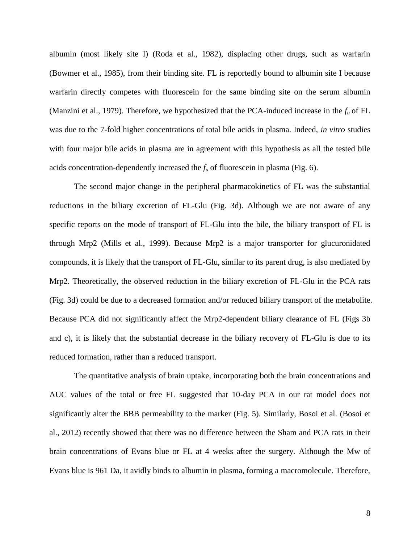albumin (most likely site I) [\(Roda et al., 1982\)](#page-22-3), displacing other drugs, such as warfarin [\(Bowmer et al., 1985\)](#page-18-5), from their binding site. FL is reportedly bound to albumin site I because warfarin directly competes with fluorescein for the same binding site on the serum albumin [\(Manzini et al., 1979\)](#page-21-6). Therefore, we hypothesized that the PCA-induced increase in the *f<sup>u</sup>* of FL was due to the 7-fold higher concentrations of total bile acids in plasma. Indeed, *in vitro* studies with four major bile acids in plasma are in agreement with this hypothesis as all the tested bile acids concentration-dependently increased the  $f_u$  of fluorescein in plasma (Fig. 6).

The second major change in the peripheral pharmacokinetics of FL was the substantial reductions in the biliary excretion of FL-Glu (Fig. 3d). Although we are not aware of any specific reports on the mode of transport of FL-Glu into the bile, the biliary transport of FL is through Mrp2 [\(Mills et al., 1999\)](#page-21-7). Because Mrp2 is a major transporter for glucuronidated compounds, it is likely that the transport of FL-Glu, similar to its parent drug, is also mediated by Mrp2. Theoretically, the observed reduction in the biliary excretion of FL-Glu in the PCA rats (Fig. 3d) could be due to a decreased formation and/or reduced biliary transport of the metabolite. Because PCA did not significantly affect the Mrp2-dependent biliary clearance of FL (Figs 3b and c), it is likely that the substantial decrease in the biliary recovery of FL-Glu is due to its reduced formation, rather than a reduced transport.

The quantitative analysis of brain uptake, incorporating both the brain concentrations and AUC values of the total or free FL suggested that 10-day PCA in our rat model does not significantly alter the BBB permeability to the marker (Fig. 5). Similarly, Bosoi et al. [\(Bosoi et](#page-18-2)  [al., 2012\)](#page-18-2) recently showed that there was no difference between the Sham and PCA rats in their brain concentrations of Evans blue or FL at 4 weeks after the surgery. Although the Mw of Evans blue is 961 Da, it avidly binds to albumin in plasma, forming a macromolecule. Therefore,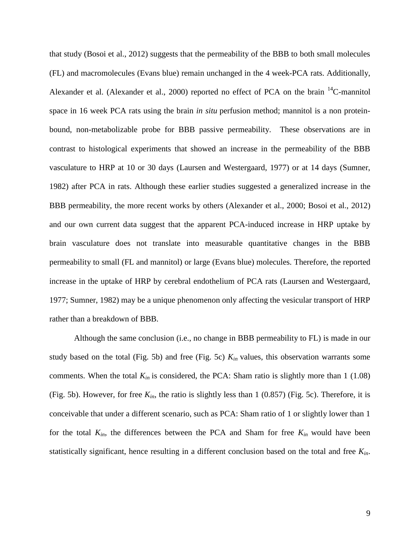that study [\(Bosoi et al., 2012\)](#page-18-2) suggests that the permeability of the BBB to both small molecules (FL) and macromolecules (Evans blue) remain unchanged in the 4 week-PCA rats. Additionally, Alexander et al. [\(Alexander et al., 2000\)](#page-18-0) reported no effect of PCA on the brain <sup>14</sup>C-mannitol space in 16 week PCA rats using the brain *in situ* perfusion method; mannitol is a non proteinbound, non-metabolizable probe for BBB passive permeability. These observations are in contrast to histological experiments that showed an increase in the permeability of the BBB vasculature to HRP at 10 or 30 days [\(Laursen and Westergaard, 1977\)](#page-20-1) or at 14 days [\(Sumner,](#page-22-1)  [1982\)](#page-22-1) after PCA in rats. Although these earlier studies suggested a generalized increase in the BBB permeability, the more recent works by others [\(Alexander et al., 2000;](#page-18-0) [Bosoi et al., 2012\)](#page-18-2) and our own current data suggest that the apparent PCA-induced increase in HRP uptake by brain vasculature does not translate into measurable quantitative changes in the BBB permeability to small (FL and mannitol) or large (Evans blue) molecules. Therefore, the reported increase in the uptake of HRP by cerebral endothelium of PCA rats [\(Laursen and Westergaard,](#page-20-1)  [1977;](#page-20-1) [Sumner, 1982\)](#page-22-1) may be a unique phenomenon only affecting the vesicular transport of HRP rather than a breakdown of BBB.

Although the same conclusion (i.e., no change in BBB permeability to FL) is made in our study based on the total (Fig. 5b) and free (Fig. 5c) *Kin* values, this observation warrants some comments. When the total  $K_{in}$  is considered, the PCA: Sham ratio is slightly more than 1 (1.08) (Fig. 5b). However, for free *Kin*, the ratio is slightly less than 1 (0.857) (Fig. 5c). Therefore, it is conceivable that under a different scenario, such as PCA: Sham ratio of 1 or slightly lower than 1 for the total  $K_{in}$ , the differences between the PCA and Sham for free  $K_{in}$  would have been statistically significant, hence resulting in a different conclusion based on the total and free *Kin*.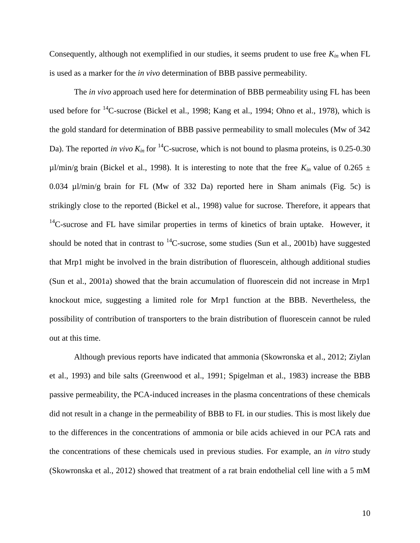Consequently, although not exemplified in our studies, it seems prudent to use free  $K_{in}$  when FL is used as a marker for the *in vivo* determination of BBB passive permeability.

The *in vivo* approach used here for determination of BBB permeability using FL has been used before for <sup>14</sup>C-sucrose [\(Bickel et al., 1998;](#page-18-6) [Kang et al., 1994;](#page-20-6) [Ohno et al., 1978\)](#page-21-8), which is the gold standard for determination of BBB passive permeability to small molecules (Mw of 342 Da). The reported *in vivo*  $K_{in}$  for <sup>14</sup>C-sucrose, which is not bound to plasma proteins, is 0.25-0.30  $\mu$ l/min/g brain [\(Bickel et al., 1998\)](#page-18-6). It is interesting to note that the free  $K_{in}$  value of 0.265  $\pm$ 0.034 µl/min/g brain for FL (Mw of 332 Da) reported here in Sham animals (Fig. 5c) is strikingly close to the reported [\(Bickel et al., 1998\)](#page-18-6) value for sucrose. Therefore, it appears that  $14$ C-sucrose and FL have similar properties in terms of kinetics of brain uptake. However, it should be noted that in contrast to  $^{14}$ C-sucrose, some studies [\(Sun et al., 2001b\)](#page-23-1) have suggested that Mrp1 might be involved in the brain distribution of fluorescein, although additional studies [\(Sun et al., 2001a\)](#page-23-2) showed that the brain accumulation of fluorescein did not increase in Mrp1 knockout mice, suggesting a limited role for Mrp1 function at the BBB. Nevertheless, the possibility of contribution of transporters to the brain distribution of fluorescein cannot be ruled out at this time.

Although previous reports have indicated that ammonia [\(Skowronska et al., 2012;](#page-22-4) [Ziylan](#page-23-3)  [et al., 1993\)](#page-23-3) and bile salts [\(Greenwood et al., 1991;](#page-19-4) [Spigelman et al., 1983\)](#page-22-5) increase the BBB passive permeability, the PCA-induced increases in the plasma concentrations of these chemicals did not result in a change in the permeability of BBB to FL in our studies. This is most likely due to the differences in the concentrations of ammonia or bile acids achieved in our PCA rats and the concentrations of these chemicals used in previous studies. For example, an *in vitro* study [\(Skowronska et al., 2012\)](#page-22-4) showed that treatment of a rat brain endothelial cell line with a 5 mM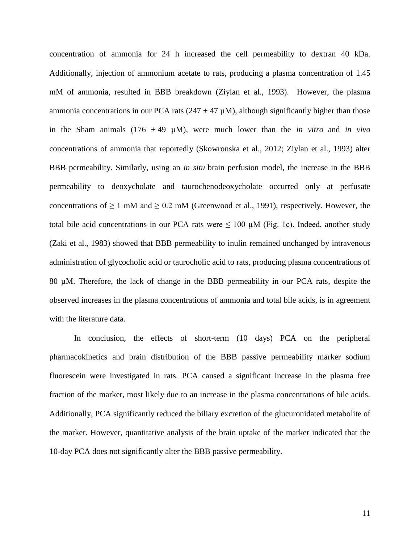concentration of ammonia for 24 h increased the cell permeability to dextran 40 kDa. Additionally, injection of ammonium acetate to rats, producing a plasma concentration of 1.45 mM of ammonia, resulted in BBB breakdown [\(Ziylan et al., 1993\)](#page-23-3). However, the plasma ammonia concentrations in our PCA rats ( $247 \pm 47 \mu$ M), although significantly higher than those in the Sham animals (176  $\pm$  49  $\mu$ M), were much lower than the *in vitro* and *in vivo* concentrations of ammonia that reportedly [\(Skowronska et al., 2012;](#page-22-4) [Ziylan et al., 1993\)](#page-23-3) alter BBB permeability. Similarly, using an *in situ* brain perfusion model, the increase in the BBB permeability to deoxycholate and taurochenodeoxycholate occurred only at perfusate concentrations of  $\geq 1$  mM and  $\geq 0.2$  mM [\(Greenwood et al., 1991\)](#page-19-4), respectively. However, the total bile acid concentrations in our PCA rats were  $\leq 100 \mu M$  (Fig. 1c). Indeed, another study [\(Zaki et al., 1983\)](#page-23-4) showed that BBB permeability to inulin remained unchanged by intravenous administration of glycocholic acid or taurocholic acid to rats, producing plasma concentrations of 80 µM. Therefore, the lack of change in the BBB permeability in our PCA rats, despite the observed increases in the plasma concentrations of ammonia and total bile acids, is in agreement with the literature data.

In conclusion, the effects of short-term (10 days) PCA on the peripheral pharmacokinetics and brain distribution of the BBB passive permeability marker sodium fluorescein were investigated in rats. PCA caused a significant increase in the plasma free fraction of the marker, most likely due to an increase in the plasma concentrations of bile acids. Additionally, PCA significantly reduced the biliary excretion of the glucuronidated metabolite of the marker. However, quantitative analysis of the brain uptake of the marker indicated that the 10-day PCA does not significantly alter the BBB passive permeability.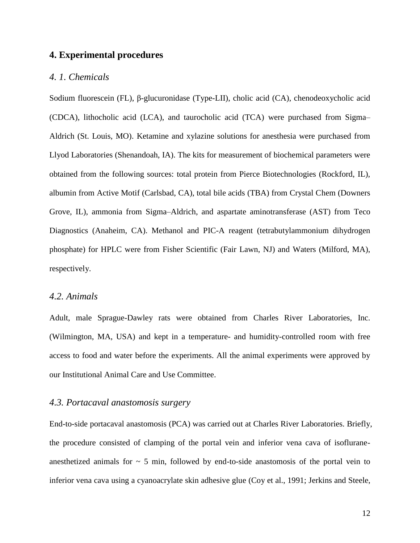# **4. Experimental procedures**

#### *4. 1. Chemicals*

Sodium fluorescein (FL), β-glucuronidase (Type-LII), cholic acid (CA), chenodeoxycholic acid (CDCA), lithocholic acid (LCA), and taurocholic acid (TCA) were purchased from Sigma– Aldrich (St. Louis, MO). Ketamine and xylazine solutions for anesthesia were purchased from Llyod Laboratories (Shenandoah, IA). The kits for measurement of biochemical parameters were obtained from the following sources: total protein from Pierce Biotechnologies (Rockford, IL), albumin from Active Motif (Carlsbad, CA), total bile acids (TBA) from Crystal Chem (Downers Grove, IL), ammonia from Sigma–Aldrich, and aspartate aminotransferase (AST) from Teco Diagnostics (Anaheim, CA). Methanol and PIC-A reagent (tetrabutylammonium dihydrogen phosphate) for HPLC were from Fisher Scientific (Fair Lawn, NJ) and Waters (Milford, MA), respectively.

#### *4.2. Animals*

Adult, male Sprague-Dawley rats were obtained from Charles River Laboratories, Inc. (Wilmington, MA, USA) and kept in a temperature- and humidity-controlled room with free access to food and water before the experiments. All the animal experiments were approved by our Institutional Animal Care and Use Committee.

#### *4.3. Portacaval anastomosis surgery*

End-to-side portacaval anastomosis (PCA) was carried out at Charles River Laboratories. Briefly, the procedure consisted of clamping of the portal vein and inferior vena cava of isofluraneanesthetized animals for  $\sim$  5 min, followed by end-to-side anastomosis of the portal vein to inferior vena cava using a cyanoacrylate skin adhesive glue [\(Coy et al., 1991;](#page-19-5) [Jerkins and Steele,](#page-20-7)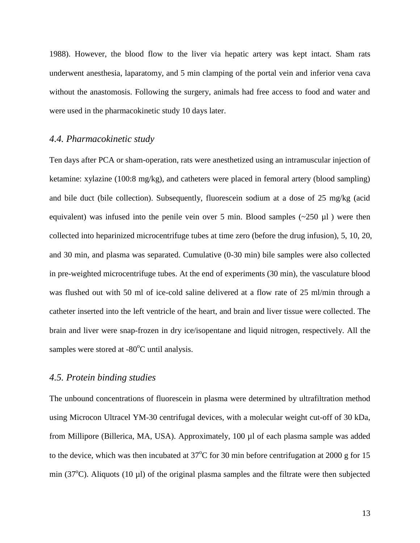1988). However, the blood flow to the liver via hepatic artery was kept intact. Sham rats underwent anesthesia, laparatomy, and 5 min clamping of the portal vein and inferior vena cava without the anastomosis. Following the surgery, animals had free access to food and water and were used in the pharmacokinetic study 10 days later.

#### *4.4. Pharmacokinetic study*

Ten days after PCA or sham-operation, rats were anesthetized using an intramuscular injection of ketamine: xylazine (100:8 mg/kg), and catheters were placed in femoral artery (blood sampling) and bile duct (bile collection). Subsequently, fluorescein sodium at a dose of 25 mg/kg (acid equivalent) was infused into the penile vein over 5 min. Blood samples  $(\sim 250 \text{ µl})$  were then collected into heparinized microcentrifuge tubes at time zero (before the drug infusion), 5, 10, 20, and 30 min, and plasma was separated. Cumulative (0-30 min) bile samples were also collected in pre-weighted microcentrifuge tubes. At the end of experiments (30 min), the vasculature blood was flushed out with 50 ml of ice-cold saline delivered at a flow rate of 25 ml/min through a catheter inserted into the left ventricle of the heart, and brain and liver tissue were collected. The brain and liver were snap-frozen in dry ice/isopentane and liquid nitrogen, respectively. All the samples were stored at  $-80^{\circ}$ C until analysis.

#### *4.5. Protein binding studies*

The unbound concentrations of fluorescein in plasma were determined by ultrafiltration method using Microcon Ultracel YM-30 centrifugal devices, with a molecular weight cut-off of 30 kDa, from Millipore (Billerica, MA, USA). Approximately, 100 µl of each plasma sample was added to the device, which was then incubated at  $37^{\circ}$ C for 30 min before centrifugation at 2000 g for 15 min (37<sup>o</sup>C). Aliquots (10 µl) of the original plasma samples and the filtrate were then subjected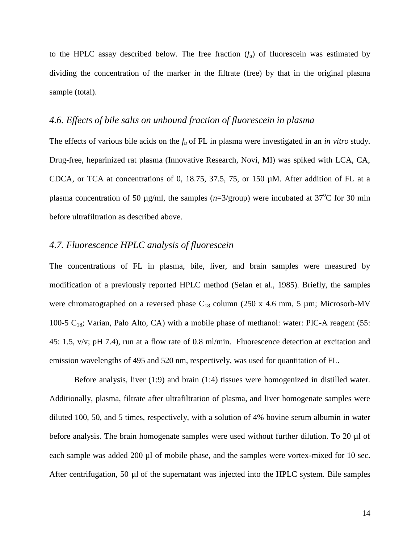to the HPLC assay described below. The free fraction  $(f_u)$  of fluorescein was estimated by dividing the concentration of the marker in the filtrate (free) by that in the original plasma sample (total).

#### *4.6. Effects of bile salts on unbound fraction of fluorescein in plasma*

The effects of various bile acids on the *f<sup>u</sup>* of FL in plasma were investigated in an *in vitro* study. Drug-free, heparinized rat plasma (Innovative Research, Novi, MI) was spiked with LCA, CA, CDCA, or TCA at concentrations of 0, 18.75, 37.5, 75, or 150 µM. After addition of FL at a plasma concentration of 50  $\mu$ g/ml, the samples ( $n=3$ /group) were incubated at 37<sup>o</sup>C for 30 min before ultrafiltration as described above.

# *4.7. Fluorescence HPLC analysis of fluorescein*

The concentrations of FL in plasma, bile, liver, and brain samples were measured by modification of a previously reported HPLC method [\(Selan et al., 1985\)](#page-22-6). Briefly, the samples were chromatographed on a reversed phase  $C_{18}$  column (250 x 4.6 mm, 5 µm; Microsorb-MV 100-5  $C_{18}$ ; Varian, Palo Alto, CA) with a mobile phase of methanol: water: PIC-A reagent (55: 45: 1.5, v/v; pH 7.4), run at a flow rate of 0.8 ml/min. Fluorescence detection at excitation and emission wavelengths of 495 and 520 nm, respectively, was used for quantitation of FL.

Before analysis, liver (1:9) and brain (1:4) tissues were homogenized in distilled water. Additionally, plasma, filtrate after ultrafiltration of plasma, and liver homogenate samples were diluted 100, 50, and 5 times, respectively, with a solution of 4% bovine serum albumin in water before analysis. The brain homogenate samples were used without further dilution. To 20 µl of each sample was added 200 µl of mobile phase, and the samples were vortex-mixed for 10 sec. After centrifugation, 50 µl of the supernatant was injected into the HPLC system. Bile samples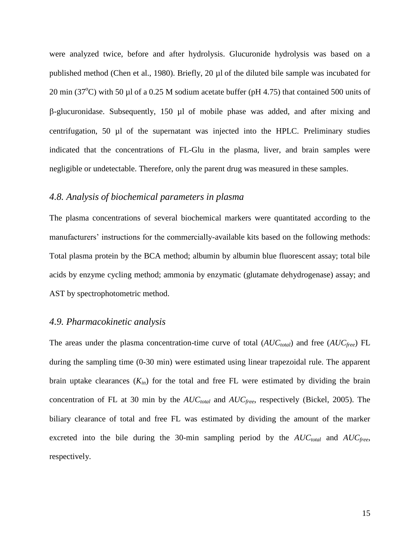were analyzed twice, before and after hydrolysis. Glucuronide hydrolysis was based on a published method [\(Chen et al., 1980\)](#page-19-6). Briefly, 20 µl of the diluted bile sample was incubated for 20 min (37 $^{\circ}$ C) with 50 µl of a 0.25 M sodium acetate buffer (pH 4.75) that contained 500 units of  $\beta$ -glucuronidase. Subsequently, 150 µl of mobile phase was added, and after mixing and centrifugation, 50 µl of the supernatant was injected into the HPLC. Preliminary studies indicated that the concentrations of FL-Glu in the plasma, liver, and brain samples were negligible or undetectable. Therefore, only the parent drug was measured in these samples.

# *4.8. Analysis of biochemical parameters in plasma*

The plasma concentrations of several biochemical markers were quantitated according to the manufacturers' instructions for the commercially-available kits based on the following methods: Total plasma protein by the BCA method; albumin by albumin blue fluorescent assay; total bile acids by enzyme cycling method; ammonia by enzymatic (glutamate dehydrogenase) assay; and AST by spectrophotometric method.

#### *4.9. Pharmacokinetic analysis*

The areas under the plasma concentration-time curve of total (*AUCtotal*) and free (*AUCfree*) FL during the sampling time (0-30 min) were estimated using linear trapezoidal rule. The apparent brain uptake clearances  $(K_{in})$  for the total and free FL were estimated by dividing the brain concentration of FL at 30 min by the *AUCtotal* and *AUCfree*, respectively [\(Bickel, 2005\)](#page-18-7). The biliary clearance of total and free FL was estimated by dividing the amount of the marker excreted into the bile during the 30-min sampling period by the *AUCtotal* and *AUCfree*, respectively.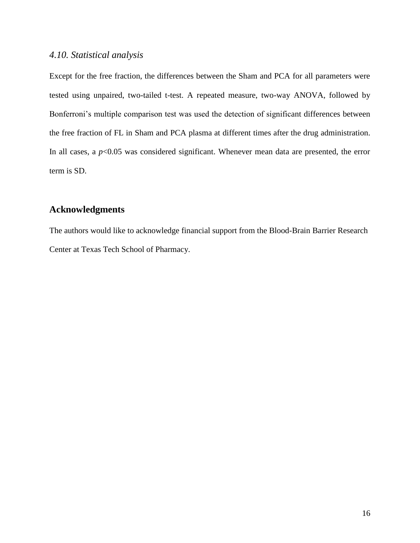### *4.10. Statistical analysis*

Except for the free fraction, the differences between the Sham and PCA for all parameters were tested using unpaired, two-tailed t-test. A repeated measure, two-way ANOVA, followed by Bonferroni's multiple comparison test was used the detection of significant differences between the free fraction of FL in Sham and PCA plasma at different times after the drug administration. In all cases, a  $p<0.05$  was considered significant. Whenever mean data are presented, the error term is SD.

# **Acknowledgments**

The authors would like to acknowledge financial support from the Blood-Brain Barrier Research Center at Texas Tech School of Pharmacy.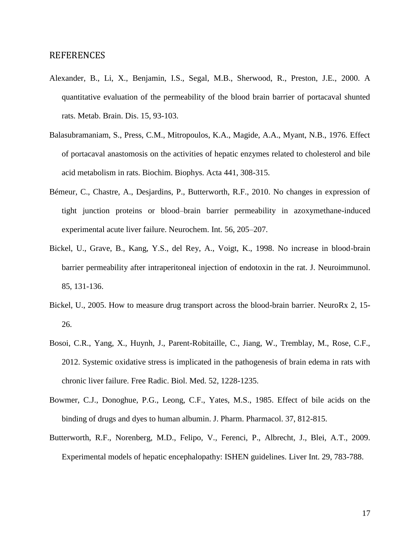#### REFERENCES

- <span id="page-18-0"></span>Alexander, B., Li, X., Benjamin, I.S., Segal, M.B., Sherwood, R., Preston, J.E., 2000. A quantitative evaluation of the permeability of the blood brain barrier of portacaval shunted rats. Metab. Brain. Dis. 15, 93-103.
- <span id="page-18-4"></span>Balasubramaniam, S., Press, C.M., Mitropoulos, K.A., Magide, A.A., Myant, N.B., 1976. Effect of portacaval anastomosis on the activities of hepatic enzymes related to cholesterol and bile acid metabolism in rats. Biochim. Biophys. Acta 441, 308-315.
- <span id="page-18-1"></span>Bémeur, C., Chastre, A., Desjardins, P., Butterworth, R.F., 2010. No changes in expression of tight junction proteins or blood–brain barrier permeability in azoxymethane-induced experimental acute liver failure. Neurochem. Int. 56, 205–207.
- <span id="page-18-6"></span>Bickel, U., Grave, B., Kang, Y.S., del Rey, A., Voigt, K., 1998. No increase in blood-brain barrier permeability after intraperitoneal injection of endotoxin in the rat. J. Neuroimmunol. 85, 131-136.
- <span id="page-18-7"></span>Bickel, U., 2005. How to measure drug transport across the blood-brain barrier. NeuroRx 2, 15- 26.
- <span id="page-18-2"></span>Bosoi, C.R., Yang, X., Huynh, J., Parent-Robitaille, C., Jiang, W., Tremblay, M., Rose, C.F., 2012. Systemic oxidative stress is implicated in the pathogenesis of brain edema in rats with chronic liver failure. Free Radic. Biol. Med. 52, 1228-1235.
- <span id="page-18-5"></span>Bowmer, C.J., Donoghue, P.G., Leong, C.F., Yates, M.S., 1985. Effect of bile acids on the binding of drugs and dyes to human albumin. J. Pharm. Pharmacol. 37, 812-815.
- <span id="page-18-3"></span>Butterworth, R.F., Norenberg, M.D., Felipo, V., Ferenci, P., Albrecht, J., Blei, A.T., 2009. Experimental models of hepatic encephalopathy: ISHEN guidelines. Liver Int. 29, 783-788.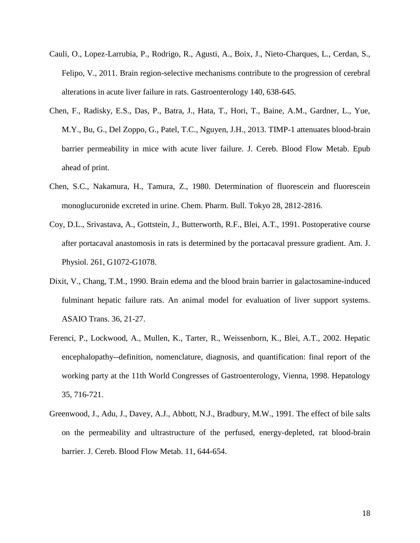- <span id="page-19-0"></span>Cauli, O., Lopez-Larrubia, P., Rodrigo, R., Agusti, A., Boix, J., Nieto-Charques, L., Cerdan, S., Felipo, V., 2011. Brain region-selective mechanisms contribute to the progression of cerebral alterations in acute liver failure in rats. Gastroenterology 140, 638-645.
- <span id="page-19-1"></span>Chen, F., Radisky, E.S., Das, P., Batra, J., Hata, T., Hori, T., Baine, A.M., Gardner, L., Yue, M.Y., Bu, G., Del Zoppo, G., Patel, T.C., Nguyen, J.H., 2013. TIMP-1 attenuates blood-brain barrier permeability in mice with acute liver failure. J. Cereb. Blood Flow Metab. Epub ahead of print.
- <span id="page-19-6"></span>Chen, S.C., Nakamura, H., Tamura, Z., 1980. Determination of fluorescein and fluorescein monoglucuronide excreted in urine. Chem. Pharm. Bull. Tokyo 28, 2812-2816.
- <span id="page-19-5"></span>Coy, D.L., Srivastava, A., Gottstein, J., Butterworth, R.F., Blei, A.T., 1991. Postoperative course after portacaval anastomosis in rats is determined by the portacaval pressure gradient. Am. J. Physiol. 261, G1072-G1078.
- <span id="page-19-2"></span>Dixit, V., Chang, T.M., 1990. Brain edema and the blood brain barrier in galactosamine-induced fulminant hepatic failure rats. An animal model for evaluation of liver support systems. ASAIO Trans. 36, 21-27.
- <span id="page-19-3"></span>Ferenci, P., Lockwood, A., Mullen, K., Tarter, R., Weissenborn, K., Blei, A.T., 2002. Hepatic encephalopathy--definition, nomenclature, diagnosis, and quantification: final report of the working party at the 11th World Congresses of Gastroenterology, Vienna, 1998. Hepatology 35, 716-721.
- <span id="page-19-4"></span>Greenwood, J., Adu, J., Davey, A.J., Abbott, N.J., Bradbury, M.W., 1991. The effect of bile salts on the permeability and ultrastructure of the perfused, energy-depleted, rat blood-brain barrier. J. Cereb. Blood Flow Metab. 11, 644-654.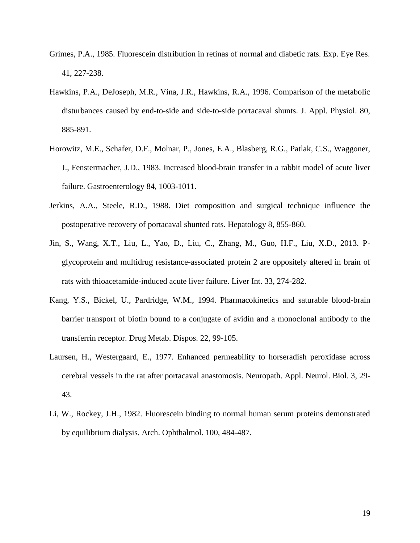- <span id="page-20-5"></span>Grimes, P.A., 1985. Fluorescein distribution in retinas of normal and diabetic rats. Exp. Eye Res. 41, 227-238.
- <span id="page-20-4"></span>Hawkins, P.A., DeJoseph, M.R., Vina, J.R., Hawkins, R.A., 1996. Comparison of the metabolic disturbances caused by end-to-side and side-to-side portacaval shunts. J. Appl. Physiol. 80, 885-891.
- <span id="page-20-0"></span>Horowitz, M.E., Schafer, D.F., Molnar, P., Jones, E.A., Blasberg, R.G., Patlak, C.S., Waggoner, J., Fenstermacher, J.D., 1983. Increased blood-brain transfer in a rabbit model of acute liver failure. Gastroenterology 84, 1003-1011.
- <span id="page-20-7"></span>Jerkins, A.A., Steele, R.D., 1988. Diet composition and surgical technique influence the postoperative recovery of portacaval shunted rats. Hepatology 8, 855-860.
- <span id="page-20-2"></span>Jin, S., Wang, X.T., Liu, L., Yao, D., Liu, C., Zhang, M., Guo, H.F., Liu, X.D., 2013. Pglycoprotein and multidrug resistance-associated protein 2 are oppositely altered in brain of rats with thioacetamide-induced acute liver failure. Liver Int. 33, 274-282.
- <span id="page-20-6"></span>Kang, Y.S., Bickel, U., Pardridge, W.M., 1994. Pharmacokinetics and saturable blood-brain barrier transport of biotin bound to a conjugate of avidin and a monoclonal antibody to the transferrin receptor. Drug Metab. Dispos. 22, 99-105.
- <span id="page-20-1"></span>Laursen, H., Westergaard, E., 1977. Enhanced permeability to horseradish peroxidase across cerebral vessels in the rat after portacaval anastomosis. Neuropath. Appl. Neurol. Biol. 3, 29- 43.
- <span id="page-20-3"></span>Li, W., Rockey, J.H., 1982. Fluorescein binding to normal human serum proteins demonstrated by equilibrium dialysis. Arch. Ophthalmol. 100, 484-487.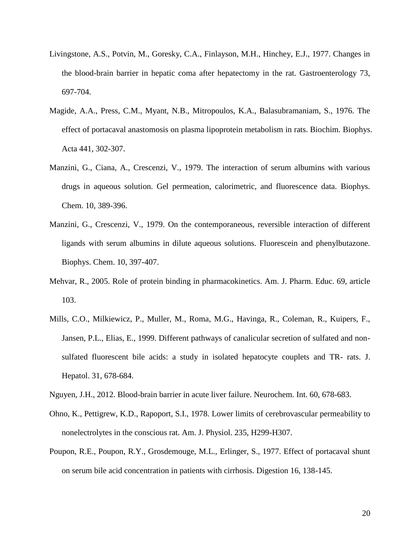- <span id="page-21-0"></span>Livingstone, A.S., Potvin, M., Goresky, C.A., Finlayson, M.H., Hinchey, E.J., 1977. Changes in the blood-brain barrier in hepatic coma after hepatectomy in the rat. Gastroenterology 73, 697-704.
- <span id="page-21-4"></span>Magide, A.A., Press, C.M., Myant, N.B., Mitropoulos, K.A., Balasubramaniam, S., 1976. The effect of portacaval anastomosis on plasma lipoprotein metabolism in rats. Biochim. Biophys. Acta 441, 302-307.
- <span id="page-21-6"></span>Manzini, G., Ciana, A., Crescenzi, V., 1979. The interaction of serum albumins with various drugs in aqueous solution. Gel permeation, calorimetric, and fluorescence data. Biophys. Chem. 10, 389-396.
- <span id="page-21-2"></span>Manzini, G., Crescenzi, V., 1979. On the contemporaneous, reversible interaction of different ligands with serum albumins in dilute aqueous solutions. Fluorescein and phenylbutazone. Biophys. Chem. 10, 397-407.
- <span id="page-21-3"></span>Mehvar, R., 2005. Role of protein binding in pharmacokinetics. Am. J. Pharm. Educ. 69, article 103.
- <span id="page-21-7"></span>Mills, C.O., Milkiewicz, P., Muller, M., Roma, M.G., Havinga, R., Coleman, R., Kuipers, F., Jansen, P.L., Elias, E., 1999. Different pathways of canalicular secretion of sulfated and nonsulfated fluorescent bile acids: a study in isolated hepatocyte couplets and TR- rats. J. Hepatol. 31, 678-684.
- <span id="page-21-1"></span>Nguyen, J.H., 2012. Blood-brain barrier in acute liver failure. Neurochem. Int. 60, 678-683.
- <span id="page-21-8"></span>Ohno, K., Pettigrew, K.D., Rapoport, S.I., 1978. Lower limits of cerebrovascular permeability to nonelectrolytes in the conscious rat. Am. J. Physiol. 235, H299-H307.
- <span id="page-21-5"></span>Poupon, R.E., Poupon, R.Y., Grosdemouge, M.L., Erlinger, S., 1977. Effect of portacaval shunt on serum bile acid concentration in patients with cirrhosis. Digestion 16, 138-145.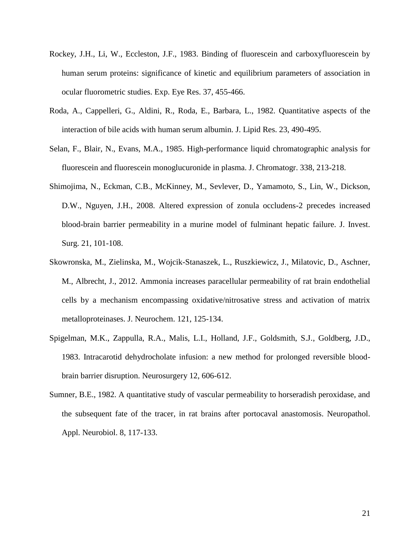- <span id="page-22-2"></span>Rockey, J.H., Li, W., Eccleston, J.F., 1983. Binding of fluorescein and carboxyfluorescein by human serum proteins: significance of kinetic and equilibrium parameters of association in ocular fluorometric studies. Exp. Eye Res. 37, 455-466.
- <span id="page-22-3"></span>Roda, A., Cappelleri, G., Aldini, R., Roda, E., Barbara, L., 1982. Quantitative aspects of the interaction of bile acids with human serum albumin. J. Lipid Res. 23, 490-495.
- <span id="page-22-6"></span>Selan, F., Blair, N., Evans, M.A., 1985. High-performance liquid chromatographic analysis for fluorescein and fluorescein monoglucuronide in plasma. J. Chromatogr. 338, 213-218.
- <span id="page-22-0"></span>Shimojima, N., Eckman, C.B., McKinney, M., Sevlever, D., Yamamoto, S., Lin, W., Dickson, D.W., Nguyen, J.H., 2008. Altered expression of zonula occludens-2 precedes increased blood-brain barrier permeability in a murine model of fulminant hepatic failure. J. Invest. Surg. 21, 101-108.
- <span id="page-22-4"></span>Skowronska, M., Zielinska, M., Wojcik-Stanaszek, L., Ruszkiewicz, J., Milatovic, D., Aschner, M., Albrecht, J., 2012. Ammonia increases paracellular permeability of rat brain endothelial cells by a mechanism encompassing oxidative/nitrosative stress and activation of matrix metalloproteinases. J. Neurochem. 121, 125-134.
- <span id="page-22-5"></span>Spigelman, M.K., Zappulla, R.A., Malis, L.I., Holland, J.F., Goldsmith, S.J., Goldberg, J.D., 1983. Intracarotid dehydrocholate infusion: a new method for prolonged reversible bloodbrain barrier disruption. Neurosurgery 12, 606-612.
- <span id="page-22-1"></span>Sumner, B.E., 1982. A quantitative study of vascular permeability to horseradish peroxidase, and the subsequent fate of the tracer, in rat brains after portocaval anastomosis. Neuropathol. Appl. Neurobiol. 8, 117-133.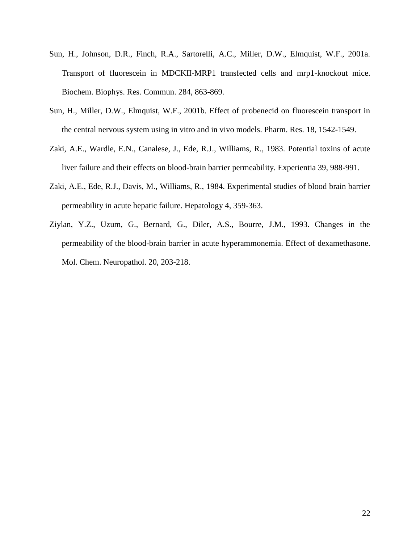- <span id="page-23-2"></span>Sun, H., Johnson, D.R., Finch, R.A., Sartorelli, A.C., Miller, D.W., Elmquist, W.F., 2001a. Transport of fluorescein in MDCKII-MRP1 transfected cells and mrp1-knockout mice. Biochem. Biophys. Res. Commun. 284, 863-869.
- <span id="page-23-1"></span>Sun, H., Miller, D.W., Elmquist, W.F., 2001b. Effect of probenecid on fluorescein transport in the central nervous system using in vitro and in vivo models. Pharm. Res. 18, 1542-1549.
- <span id="page-23-4"></span>Zaki, A.E., Wardle, E.N., Canalese, J., Ede, R.J., Williams, R., 1983. Potential toxins of acute liver failure and their effects on blood-brain barrier permeability. Experientia 39, 988-991.
- <span id="page-23-0"></span>Zaki, A.E., Ede, R.J., Davis, M., Williams, R., 1984. Experimental studies of blood brain barrier permeability in acute hepatic failure. Hepatology 4, 359-363.
- <span id="page-23-3"></span>Ziylan, Y.Z., Uzum, G., Bernard, G., Diler, A.S., Bourre, J.M., 1993. Changes in the permeability of the blood-brain barrier in acute hyperammonemia. Effect of dexamethasone. Mol. Chem. Neuropathol. 20, 203-218.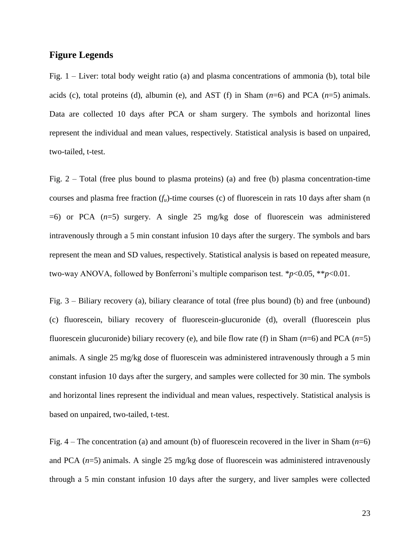# **Figure Legends**

Fig. 1 – Liver: total body weight ratio (a) and plasma concentrations of ammonia (b), total bile acids (c), total proteins (d), albumin (e), and AST (f) in Sham (*n*=6) and PCA (*n*=5) animals. Data are collected 10 days after PCA or sham surgery. The symbols and horizontal lines represent the individual and mean values, respectively. Statistical analysis is based on unpaired, two-tailed, t-test.

Fig.  $2 - Total$  (free plus bound to plasma proteins) (a) and free (b) plasma concentration-time courses and plasma free fraction  $(f_u)$ -time courses (c) of fluorescein in rats 10 days after sham (n  $=6$ ) or PCA  $(n=5)$  surgery. A single 25 mg/kg dose of fluorescein was administered intravenously through a 5 min constant infusion 10 days after the surgery. The symbols and bars represent the mean and SD values, respectively. Statistical analysis is based on repeated measure, two-way ANOVA, followed by Bonferroni's multiple comparison test. \**p*<0.05, \*\**p*<0.01.

Fig. 3 – Biliary recovery (a), biliary clearance of total (free plus bound) (b) and free (unbound) (c) fluorescein, biliary recovery of fluorescein-glucuronide (d), overall (fluorescein plus fluorescein glucuronide) biliary recovery (e), and bile flow rate (f) in Sham (*n*=6) and PCA (*n*=5) animals. A single 25 mg/kg dose of fluorescein was administered intravenously through a 5 min constant infusion 10 days after the surgery, and samples were collected for 30 min. The symbols and horizontal lines represent the individual and mean values, respectively. Statistical analysis is based on unpaired, two-tailed, t-test.

Fig. 4 – The concentration (a) and amount (b) of fluorescein recovered in the liver in Sham (*n*=6) and PCA  $(n=5)$  animals. A single 25 mg/kg dose of fluorescein was administered intravenously through a 5 min constant infusion 10 days after the surgery, and liver samples were collected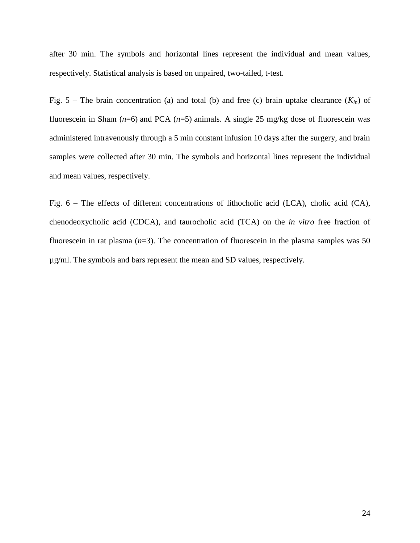after 30 min. The symbols and horizontal lines represent the individual and mean values, respectively. Statistical analysis is based on unpaired, two-tailed, t-test.

Fig. 5 – The brain concentration (a) and total (b) and free (c) brain uptake clearance  $(K_{in})$  of fluorescein in Sham (*n*=6) and PCA (*n*=5) animals. A single 25 mg/kg dose of fluorescein was administered intravenously through a 5 min constant infusion 10 days after the surgery, and brain samples were collected after 30 min. The symbols and horizontal lines represent the individual and mean values, respectively.

Fig. 6 – The effects of different concentrations of lithocholic acid (LCA), cholic acid (CA), chenodeoxycholic acid (CDCA), and taurocholic acid (TCA) on the *in vitro* free fraction of fluorescein in rat plasma  $(n=3)$ . The concentration of fluorescein in the plasma samples was 50 µg/ml. The symbols and bars represent the mean and SD values, respectively.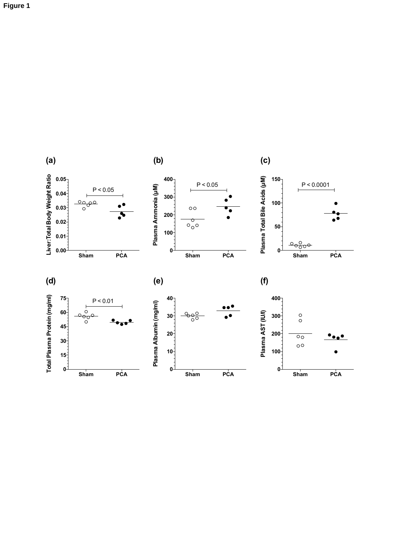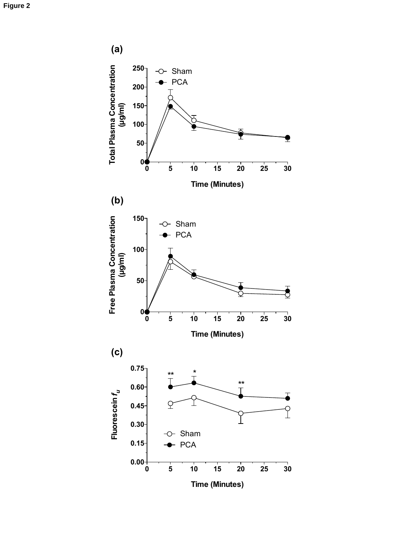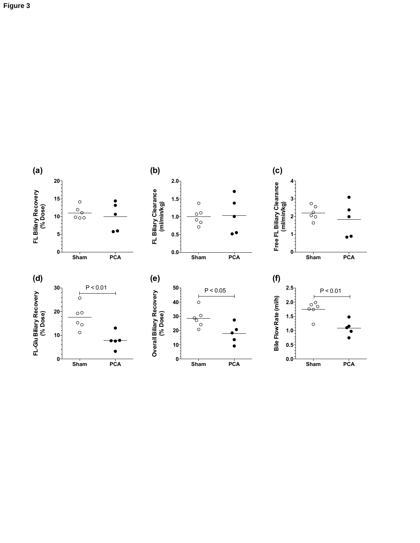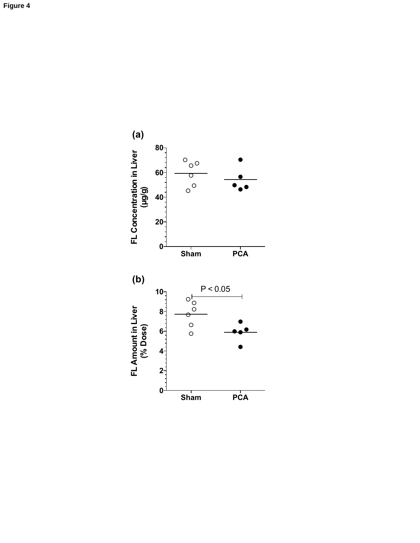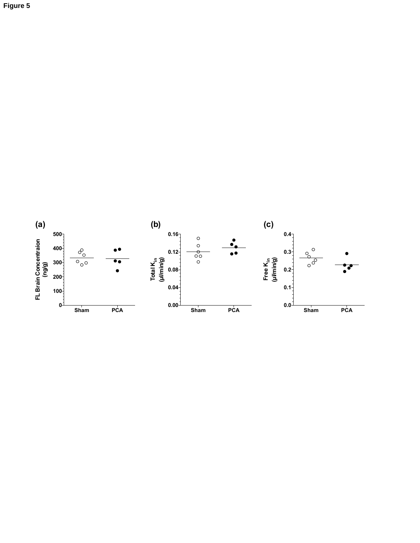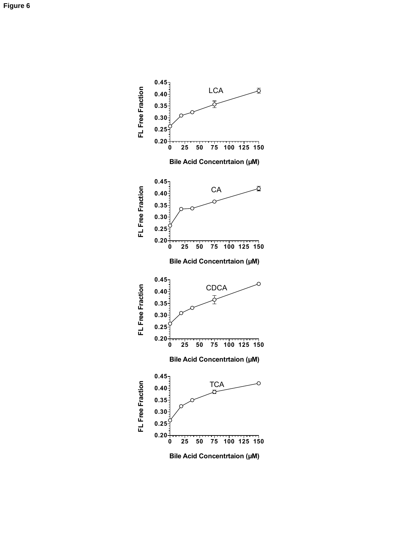